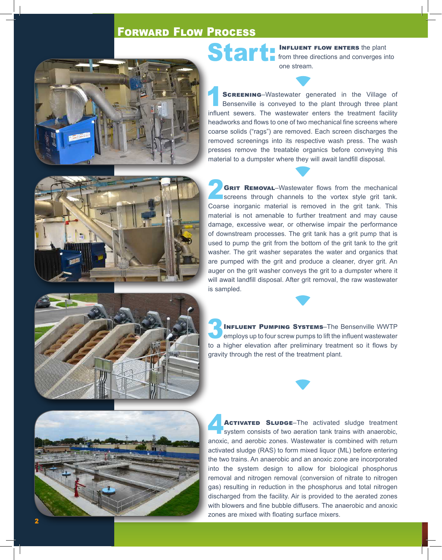## Forward Flow Process



Start: INFLUENT FLOW ENTERS the plant from three directions and converges into one stream.

**SCREENING**–Wastewater generated in the Village of Bensenville is conveyed to the plant through three plant influent sewers. The wastewater enters the treatment facility headworks and flows to one of two mechanical fine screens where coarse solids ("rags") are removed. Each screen discharges the removed screenings into its respective wash press. The wash presses remove the treatable organics before conveying this material to a dumpster where they will await landfill disposal.



**2 GRIT REMOVAL**–Wastewater flows from the mechanical screens through channels to the vortex style grit tank. Coarse inorganic material is removed in the grit tank. This material is not amenable to further treatment and may cause damage, excessive wear, or otherwise impair the performance of downstream processes. The grit tank has a grit pump that is used to pump the grit from the bottom of the grit tank to the grit washer. The grit washer separates the water and organics that are pumped with the grit and produce a cleaner, dryer grit. An auger on the grit washer conveys the grit to a dumpster where it will await landfill disposal. After grit removal, the raw wastewater is sampled.



INFLUENT PUMPING SYSTEMS–The Bensenville WWTP<br>
employs up to four screw pumps to lift the influent wastewater to a higher elevation after preliminary treatment so it flows by gravity through the rest of the treatment plant.



ACTIVATED SLUDGE–The activated sludge treatment **System consists of two aeration tank trains with anaerobic,** anoxic, and aerobic zones. Wastewater is combined with return activated sludge (RAS) to form mixed liquor (ML) before entering the two trains. An anaerobic and an anoxic zone are incorporated into the system design to allow for biological phosphorus removal and nitrogen removal (conversion of nitrate to nitrogen gas) resulting in reduction in the phosphorus and total nitrogen discharged from the facility. Air is provided to the aerated zones with blowers and fine bubble diffusers. The anaerobic and anoxic zones are mixed with floating surface mixers.